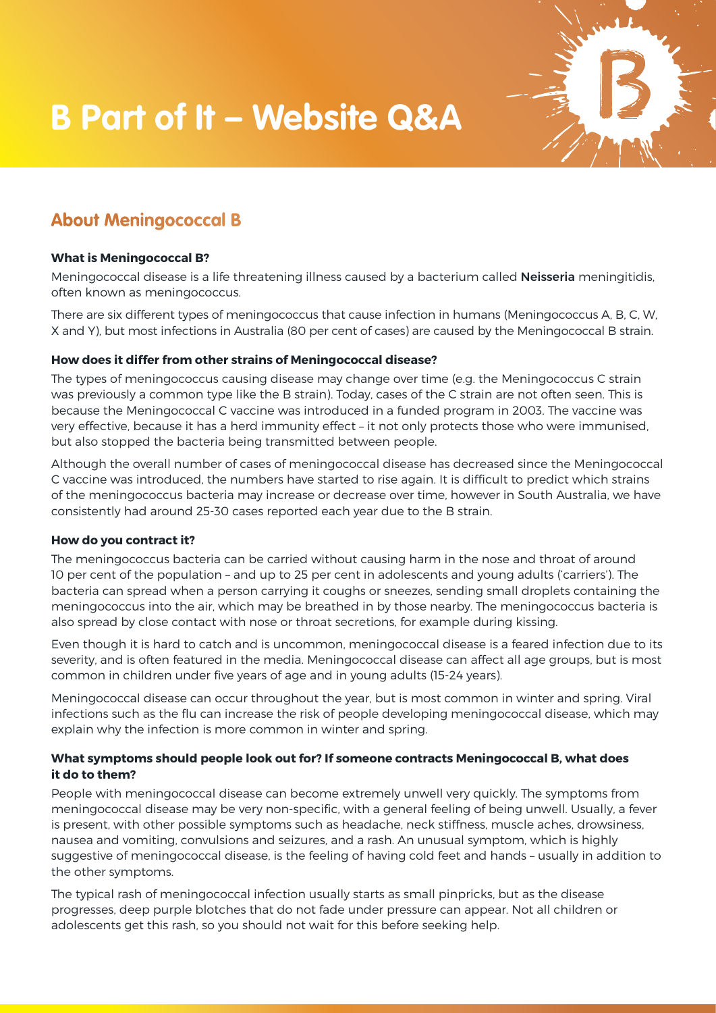# **B Part of It – Website Q&A**

# **About Meningococcal B**

#### **What is Meningococcal B?**

Meningococcal disease is a life threatening illness caused by a bacterium called **Neisseria** meningitidis, often known as meningococcus.

There are six different types of meningococcus that cause infection in humans (Meningococcus A, B, C, W, X and Y), but most infections in Australia (80 per cent of cases) are caused by the Meningococcal B strain.

#### **How does it differ from other strains of Meningococcal disease?**

The types of meningococcus causing disease may change over time (e.g. the Meningococcus C strain was previously a common type like the B strain). Today, cases of the C strain are not often seen. This is because the Meningococcal C vaccine was introduced in a funded program in 2003. The vaccine was very effective, because it has a herd immunity effect – it not only protects those who were immunised, but also stopped the bacteria being transmitted between people.

Although the overall number of cases of meningococcal disease has decreased since the Meningococcal C vaccine was introduced, the numbers have started to rise again. It is difficult to predict which strains of the meningococcus bacteria may increase or decrease over time, however in South Australia, we have consistently had around 25-30 cases reported each year due to the B strain.

#### **How do you contract it?**

The meningococcus bacteria can be carried without causing harm in the nose and throat of around 10 per cent of the population – and up to 25 per cent in adolescents and young adults ('carriers'). The bacteria can spread when a person carrying it coughs or sneezes, sending small droplets containing the meningococcus into the air, which may be breathed in by those nearby. The meningococcus bacteria is also spread by close contact with nose or throat secretions, for example during kissing.

Even though it is hard to catch and is uncommon, meningococcal disease is a feared infection due to its severity, and is often featured in the media. Meningococcal disease can affect all age groups, but is most common in children under five years of age and in young adults (15-24 years).

Meningococcal disease can occur throughout the year, but is most common in winter and spring. Viral infections such as the flu can increase the risk of people developing meningococcal disease, which may explain why the infection is more common in winter and spring.

#### **What symptoms should people look out for? If someone contracts Meningococcal B, what does it do to them?**

People with meningococcal disease can become extremely unwell very quickly. The symptoms from meningococcal disease may be very non-specific, with a general feeling of being unwell. Usually, a fever is present, with other possible symptoms such as headache, neck stiffness, muscle aches, drowsiness, nausea and vomiting, convulsions and seizures, and a rash. An unusual symptom, which is highly suggestive of meningococcal disease, is the feeling of having cold feet and hands – usually in addition to the other symptoms.

The typical rash of meningococcal infection usually starts as small pinpricks, but as the disease progresses, deep purple blotches that do not fade under pressure can appear. Not all children or adolescents get this rash, so you should not wait for this before seeking help.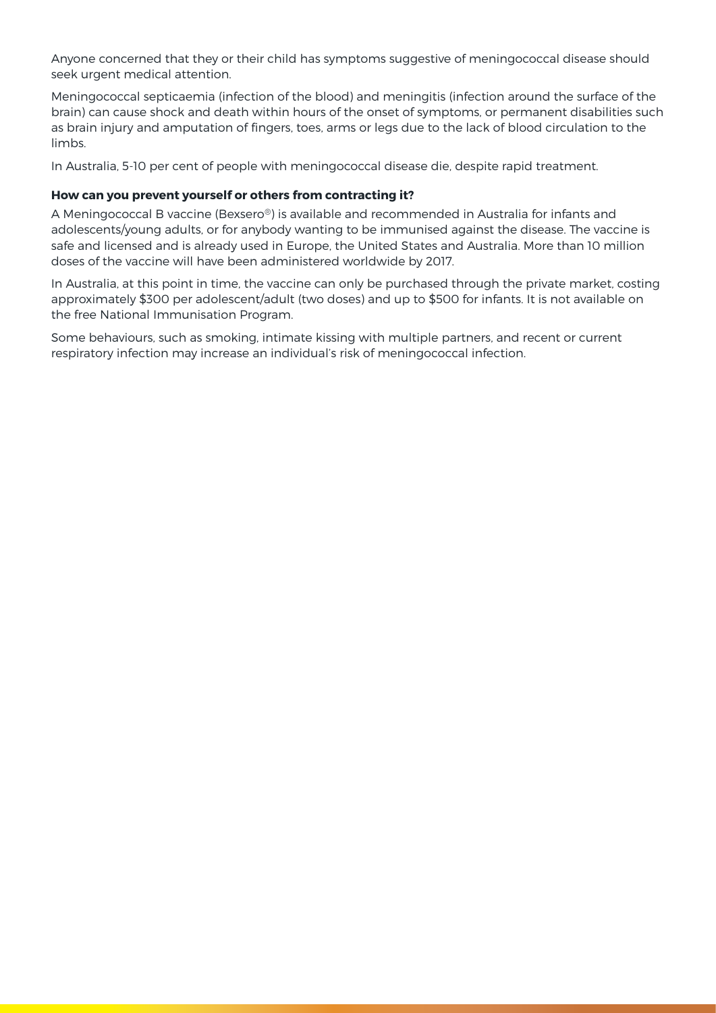Anyone concerned that they or their child has symptoms suggestive of meningococcal disease should seek urgent medical attention.

Meningococcal septicaemia (infection of the blood) and meningitis (infection around the surface of the brain) can cause shock and death within hours of the onset of symptoms, or permanent disabilities such as brain injury and amputation of fingers, toes, arms or legs due to the lack of blood circulation to the limbs.

In Australia, 5-10 per cent of people with meningococcal disease die, despite rapid treatment.

#### **How can you prevent yourself or others from contracting it?**

A Meningococcal B vaccine (Bexsero®) is available and recommended in Australia for infants and adolescents/young adults, or for anybody wanting to be immunised against the disease. The vaccine is safe and licensed and is already used in Europe, the United States and Australia. More than 10 million doses of the vaccine will have been administered worldwide by 2017.

In Australia, at this point in time, the vaccine can only be purchased through the private market, costing approximately \$300 per adolescent/adult (two doses) and up to \$500 for infants. It is not available on the free National Immunisation Program.

Some behaviours, such as smoking, intimate kissing with multiple partners, and recent or current respiratory infection may increase an individual's risk of meningococcal infection.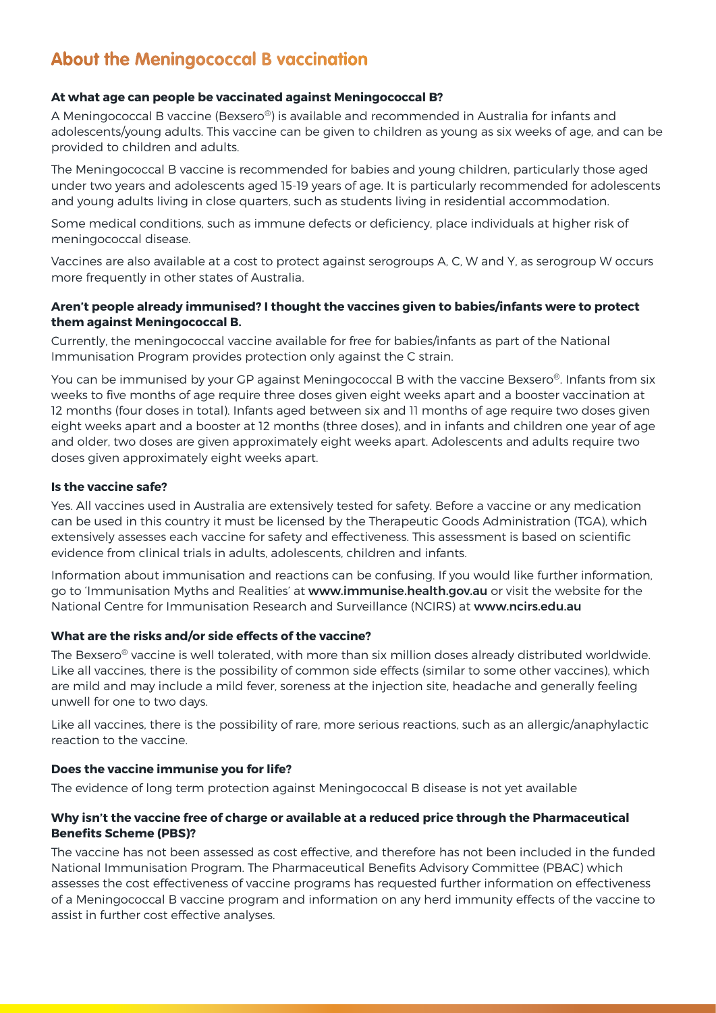# **About the Meningococcal B vaccination**

## **At what age can people be vaccinated against Meningococcal B?**

A Meningococcal B vaccine (Bexsero®) is available and recommended in Australia for infants and adolescents/young adults. This vaccine can be given to children as young as six weeks of age, and can be provided to children and adults.

The Meningococcal B vaccine is recommended for babies and young children, particularly those aged under two years and adolescents aged 15-19 years of age. It is particularly recommended for adolescents and young adults living in close quarters, such as students living in residential accommodation.

Some medical conditions, such as immune defects or deficiency, place individuals at higher risk of meningococcal disease.

Vaccines are also available at a cost to protect against serogroups A, C, W and Y, as serogroup W occurs more frequently in other states of Australia.

#### **Aren't people already immunised? I thought the vaccines given to babies/infants were to protect them against Meningococcal B.**

Currently, the meningococcal vaccine available for free for babies/infants as part of the National Immunisation Program provides protection only against the C strain.

You can be immunised by your GP against Meningococcal B with the vaccine Bexsero®. Infants from six weeks to five months of age require three doses given eight weeks apart and a booster vaccination at 12 months (four doses in total). Infants aged between six and 11 months of age require two doses given eight weeks apart and a booster at 12 months (three doses), and in infants and children one year of age and older, two doses are given approximately eight weeks apart. Adolescents and adults require two doses given approximately eight weeks apart.

#### **Is the vaccine safe?**

Yes. All vaccines used in Australia are extensively tested for safety. Before a vaccine or any medication can be used in this country it must be licensed by the Therapeutic Goods Administration (TGA), which extensively assesses each vaccine for safety and effectiveness. This assessment is based on scientific evidence from clinical trials in adults, adolescents, children and infants.

Information about immunisation and reactions can be confusing. If you would like further information, go to 'Immunisation Myths and Realities' at www.immunise.health.gov.au or visit the website for the National Centre for Immunisation Research and Surveillance (NCIRS) at www.ncirs.edu.au

#### **What are the risks and/or side effects of the vaccine?**

The Bexsero® vaccine is well tolerated, with more than six million doses already distributed worldwide. Like all vaccines, there is the possibility of common side effects (similar to some other vaccines), which are mild and may include a mild fever, soreness at the injection site, headache and generally feeling unwell for one to two days.

Like all vaccines, there is the possibility of rare, more serious reactions, such as an allergic/anaphylactic reaction to the vaccine.

# **Does the vaccine immunise you for life?**

The evidence of long term protection against Meningococcal B disease is not yet available

#### **Why isn't the vaccine free of charge or available at a reduced price through the Pharmaceutical Benefits Scheme (PBS)?**

The vaccine has not been assessed as cost effective, and therefore has not been included in the funded National Immunisation Program. The Pharmaceutical Benefits Advisory Committee (PBAC) which assesses the cost effectiveness of vaccine programs has requested further information on effectiveness of a Meningococcal B vaccine program and information on any herd immunity effects of the vaccine to assist in further cost effective analyses.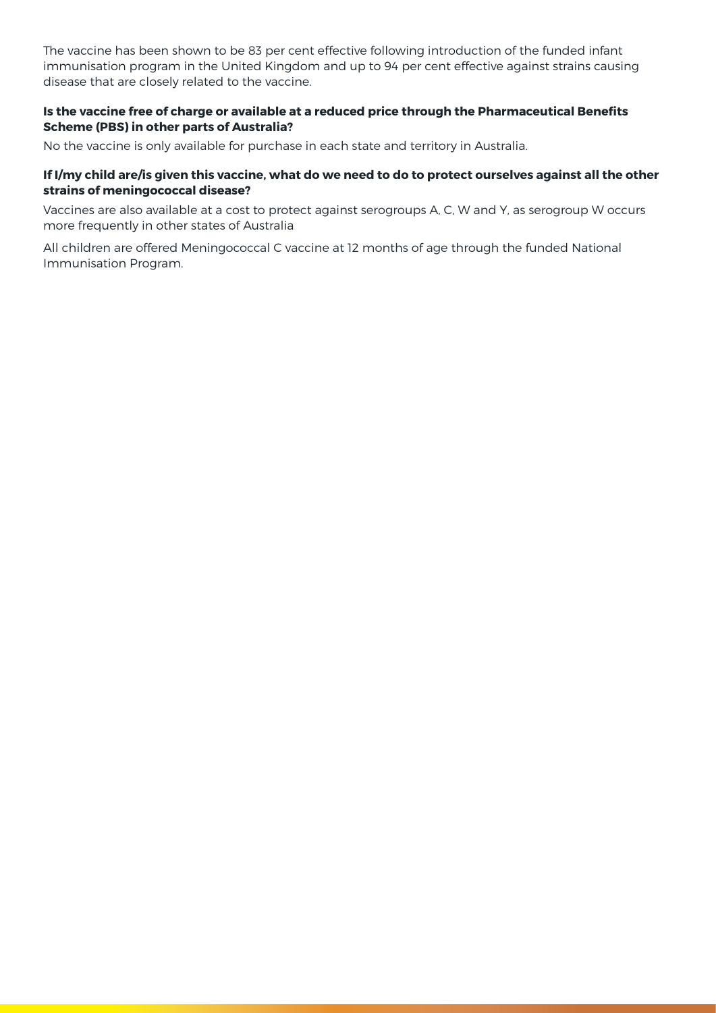The vaccine has been shown to be 83 per cent effective following introduction of the funded infant immunisation program in the United Kingdom and up to 94 per cent effective against strains causing disease that are closely related to the vaccine.

#### **Is the vaccine free of charge or available at a reduced price through the Pharmaceutical Benefits Scheme (PBS) in other parts of Australia?**

No the vaccine is only available for purchase in each state and territory in Australia.

#### **If I/my child are/is given this vaccine, what do we need to do to protect ourselves against all the other strains of meningococcal disease?**

Vaccines are also available at a cost to protect against serogroups A, C, W and Y, as serogroup W occurs more frequently in other states of Australia

All children are offered Meningococcal C vaccine at 12 months of age through the funded National Immunisation Program.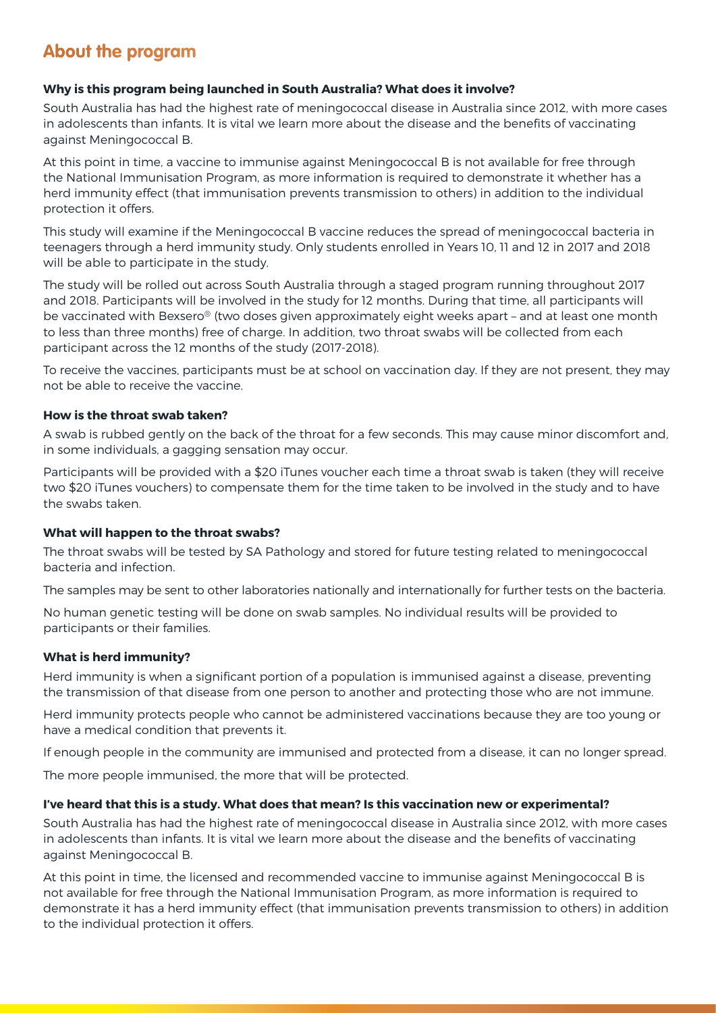# **About the program**

# **Why is this program being launched in South Australia? What does it involve?**

South Australia has had the highest rate of meningococcal disease in Australia since 2012, with more cases in adolescents than infants. It is vital we learn more about the disease and the benefits of vaccinating against Meningococcal B.

At this point in time, a vaccine to immunise against Meningococcal B is not available for free through the National Immunisation Program, as more information is required to demonstrate it whether has a herd immunity effect (that immunisation prevents transmission to others) in addition to the individual protection it offers.

This study will examine if the Meningococcal B vaccine reduces the spread of meningococcal bacteria in teenagers through a herd immunity study. Only students enrolled in Years 10, 11 and 12 in 2017 and 2018 will be able to participate in the study.

The study will be rolled out across South Australia through a staged program running throughout 2017 and 2018. Participants will be involved in the study for 12 months. During that time, all participants will be vaccinated with Bexsero® (two doses given approximately eight weeks apart – and at least one month to less than three months) free of charge. In addition, two throat swabs will be collected from each participant across the 12 months of the study (2017-2018).

To receive the vaccines, participants must be at school on vaccination day. If they are not present, they may not be able to receive the vaccine.

#### **How is the throat swab taken?**

A swab is rubbed gently on the back of the throat for a few seconds. This may cause minor discomfort and, in some individuals, a gagging sensation may occur.

Participants will be provided with a \$20 iTunes voucher each time a throat swab is taken (they will receive two \$20 iTunes vouchers) to compensate them for the time taken to be involved in the study and to have the swabs taken.

#### **What will happen to the throat swabs?**

The throat swabs will be tested by SA Pathology and stored for future testing related to meningococcal bacteria and infection.

The samples may be sent to other laboratories nationally and internationally for further tests on the bacteria.

No human genetic testing will be done on swab samples. No individual results will be provided to participants or their families.

# **What is herd immunity?**

Herd immunity is when a significant portion of a population is immunised against a disease, preventing the transmission of that disease from one person to another and protecting those who are not immune.

Herd immunity protects people who cannot be administered vaccinations because they are too young or have a medical condition that prevents it.

If enough people in the community are immunised and protected from a disease, it can no longer spread.

The more people immunised, the more that will be protected.

#### **I've heard that this is a study. What does that mean? Is this vaccination new or experimental?**

South Australia has had the highest rate of meningococcal disease in Australia since 2012, with more cases in adolescents than infants. It is vital we learn more about the disease and the benefits of vaccinating against Meningococcal B.

At this point in time, the licensed and recommended vaccine to immunise against Meningococcal B is not available for free through the National Immunisation Program, as more information is required to demonstrate it has a herd immunity effect (that immunisation prevents transmission to others) in addition to the individual protection it offers.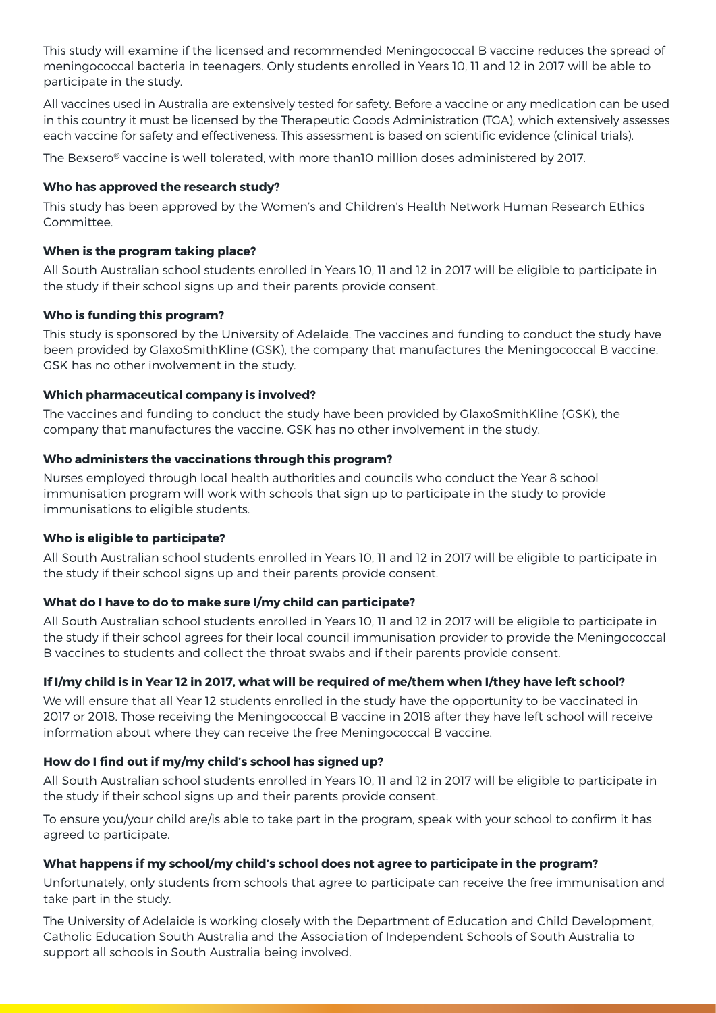This study will examine if the licensed and recommended Meningococcal B vaccine reduces the spread of meningococcal bacteria in teenagers. Only students enrolled in Years 10, 11 and 12 in 2017 will be able to participate in the study.

All vaccines used in Australia are extensively tested for safety. Before a vaccine or any medication can be used in this country it must be licensed by the Therapeutic Goods Administration (TGA), which extensively assesses each vaccine for safety and effectiveness. This assessment is based on scientific evidence (clinical trials).

The Bexsero® vaccine is well tolerated, with more than10 million doses administered by 2017.

## **Who has approved the research study?**

This study has been approved by the Women's and Children's Health Network Human Research Ethics Committee.

# **When is the program taking place?**

All South Australian school students enrolled in Years 10, 11 and 12 in 2017 will be eligible to participate in the study if their school signs up and their parents provide consent.

#### **Who is funding this program?**

This study is sponsored by the University of Adelaide. The vaccines and funding to conduct the study have been provided by GlaxoSmithKline (GSK), the company that manufactures the Meningococcal B vaccine. GSK has no other involvement in the study.

#### **Which pharmaceutical company is involved?**

The vaccines and funding to conduct the study have been provided by GlaxoSmithKline (GSK), the company that manufactures the vaccine. GSK has no other involvement in the study.

#### **Who administers the vaccinations through this program?**

Nurses employed through local health authorities and councils who conduct the Year 8 school immunisation program will work with schools that sign up to participate in the study to provide immunisations to eligible students.

#### **Who is eligible to participate?**

All South Australian school students enrolled in Years 10, 11 and 12 in 2017 will be eligible to participate in the study if their school signs up and their parents provide consent.

# **What do I have to do to make sure I/my child can participate?**

All South Australian school students enrolled in Years 10, 11 and 12 in 2017 will be eligible to participate in the study if their school agrees for their local council immunisation provider to provide the Meningococcal B vaccines to students and collect the throat swabs and if their parents provide consent.

# **If I/my child is in Year 12 in 2017, what will be required of me/them when I/they have left school?**

We will ensure that all Year 12 students enrolled in the study have the opportunity to be vaccinated in 2017 or 2018. Those receiving the Meningococcal B vaccine in 2018 after they have left school will receive information about where they can receive the free Meningococcal B vaccine.

# **How do I find out if my/my child's school has signed up?**

All South Australian school students enrolled in Years 10, 11 and 12 in 2017 will be eligible to participate in the study if their school signs up and their parents provide consent.

To ensure you/your child are/is able to take part in the program, speak with your school to confirm it has agreed to participate.

#### **What happens if my school/my child's school does not agree to participate in the program?**

Unfortunately, only students from schools that agree to participate can receive the free immunisation and take part in the study.

The University of Adelaide is working closely with the Department of Education and Child Development, Catholic Education South Australia and the Association of Independent Schools of South Australia to support all schools in South Australia being involved.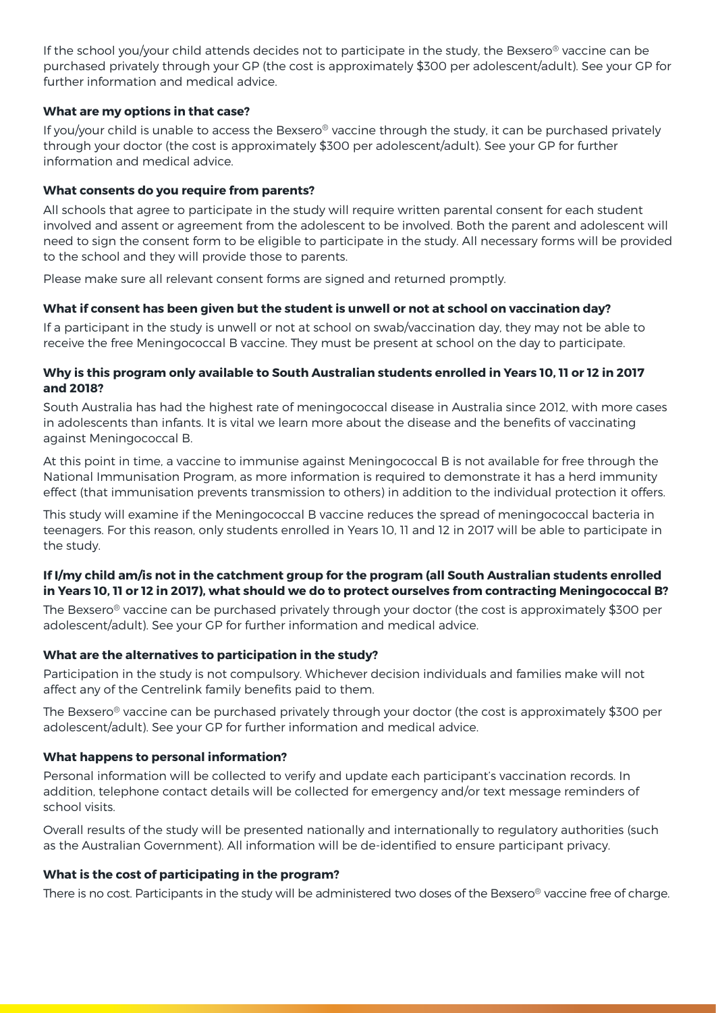If the school you/your child attends decides not to participate in the study, the Bexsero<sup>®</sup> vaccine can be purchased privately through your GP (the cost is approximately \$300 per adolescent/adult). See your GP for further information and medical advice.

## **What are my options in that case?**

If you/your child is unable to access the Bexsero® vaccine through the study, it can be purchased privately through your doctor (the cost is approximately \$300 per adolescent/adult). See your GP for further information and medical advice.

## **What consents do you require from parents?**

All schools that agree to participate in the study will require written parental consent for each student involved and assent or agreement from the adolescent to be involved. Both the parent and adolescent will need to sign the consent form to be eligible to participate in the study. All necessary forms will be provided to the school and they will provide those to parents.

Please make sure all relevant consent forms are signed and returned promptly.

#### **What if consent has been given but the student is unwell or not at school on vaccination day?**

If a participant in the study is unwell or not at school on swab/vaccination day, they may not be able to receive the free Meningococcal B vaccine. They must be present at school on the day to participate.

#### **Why is this program only available to South Australian students enrolled in Years 10, 11 or 12 in 2017 and 2018?**

South Australia has had the highest rate of meningococcal disease in Australia since 2012, with more cases in adolescents than infants. It is vital we learn more about the disease and the benefits of vaccinating against Meningococcal B.

At this point in time, a vaccine to immunise against Meningococcal B is not available for free through the National Immunisation Program, as more information is required to demonstrate it has a herd immunity effect (that immunisation prevents transmission to others) in addition to the individual protection it offers.

This study will examine if the Meningococcal B vaccine reduces the spread of meningococcal bacteria in teenagers. For this reason, only students enrolled in Years 10, 11 and 12 in 2017 will be able to participate in the study.

# **If I/my child am/is not in the catchment group for the program (all South Australian students enrolled in Years 10, 11 or 12 in 2017), what should we do to protect ourselves from contracting Meningococcal B?**

The Bexsero<sup>®</sup> vaccine can be purchased privately through your doctor (the cost is approximately \$300 per adolescent/adult). See your GP for further information and medical advice.

# **What are the alternatives to participation in the study?**

Participation in the study is not compulsory. Whichever decision individuals and families make will not affect any of the Centrelink family benefits paid to them.

The Bexsero® vaccine can be purchased privately through your doctor (the cost is approximately \$300 per adolescent/adult). See your GP for further information and medical advice.

# **What happens to personal information?**

Personal information will be collected to verify and update each participant's vaccination records. In addition, telephone contact details will be collected for emergency and/or text message reminders of school visits.

Overall results of the study will be presented nationally and internationally to regulatory authorities (such as the Australian Government). All information will be de-identified to ensure participant privacy.

#### **What is the cost of participating in the program?**

There is no cost. Participants in the study will be administered two doses of the Bexsero® vaccine free of charge.